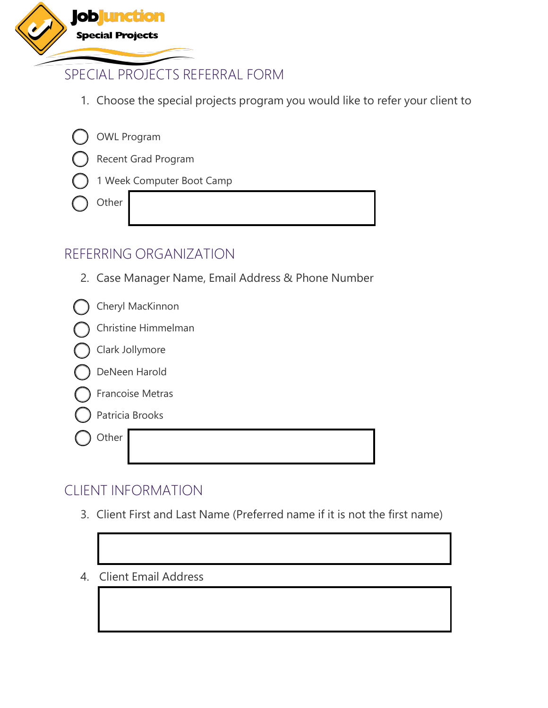

# SPECIAL PROJECTS REFERRAL FORM

1. Choose the special projects program you would like to refer your client to

| ( ) OWL Program           |  |
|---------------------------|--|
| ( ) Recent Grad Program   |  |
| 1 Week Computer Boot Camp |  |
| $\bigcirc$ Other          |  |

### REFERRING ORGANIZATION

2. Case Manager Name, Email Address & Phone Number

| Cheryl MacKinnon |                     |  |  |  |
|------------------|---------------------|--|--|--|
|                  | Christine Himmelman |  |  |  |
|                  | Clark Jollymore     |  |  |  |
|                  | DeNeen Harold       |  |  |  |
| Francoise Metras |                     |  |  |  |
| Patricia Brooks  |                     |  |  |  |
| Other            |                     |  |  |  |

## CLIENT INFORMATION

- 3. Client First and Last Name (Preferred name if it is not the first name)
- 4. Client Email Address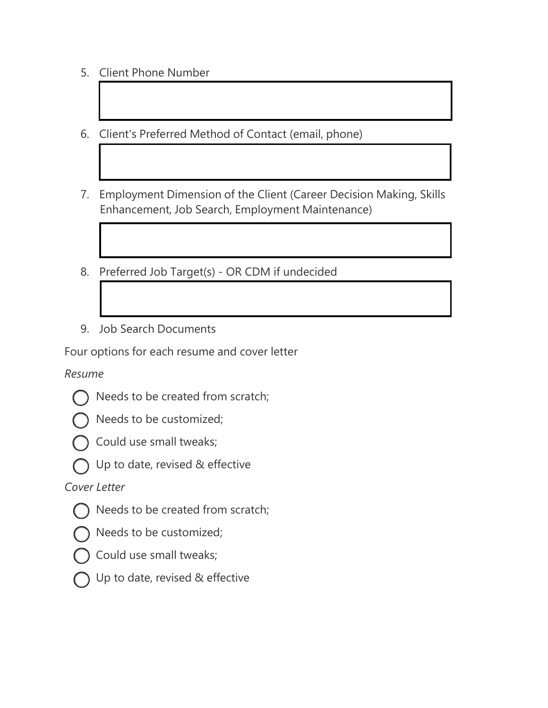- 5. Client Phone Number
- 6. Client's Preferred Method of Contact (email, phone)
- 7. Employment Dimension of the Client (Career Decision Making, Skills Enhancement, Job Search, Employment Maintenance)
- 8. Preferred Job Target(s) OR CDM if undecided
- 9. Job Search Documents

Four options for each resume and cover letter

#### *Resume*



Needs to be created from scratch;



Needs to be customized;



Could use small tweaks;



Up to date, revised & effective

### *Cover Letter*



Needs to be created from scratch;



Needs to be customized;



Could use small tweaks;

Up to date, revised & effective